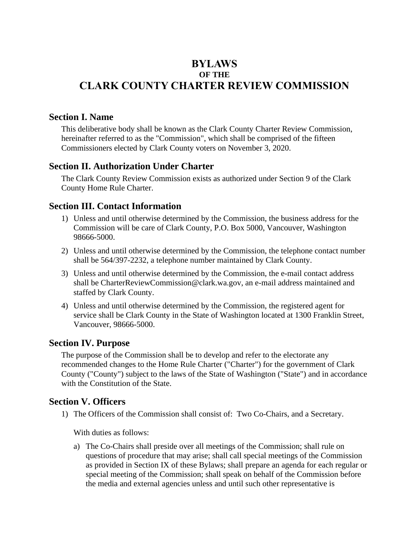# **BYLAWS OF THE CLARK COUNTY CHARTER REVIEW COMMISSION**

#### **Section I. Name**

This deliberative body shall be known as the Clark County Charter Review Commission, hereinafter referred to as the "Commission", which shall be comprised of the fifteen Commissioners elected by Clark County voters on November 3, 2020.

#### **Section II. Authorization Under Charter**

The Clark County Review Commission exists as authorized under Section 9 of the Clark County Home Rule Charter.

### **Section III. Contact Information**

- 1) Unless and until otherwise determined by the Commission, the business address for the Commission will be care of Clark County, P.O. Box 5000, Vancouver, Washington 98666-5000.
- 2) Unless and until otherwise determined by the Commission, the telephone contact number shall be 564/397-2232, a telephone number maintained by Clark County.
- 3) Unless and until otherwise determined by the Commission, the e-mail contact address shall be CharterReviewCommission@clark.wa.gov, an e-mail address maintained and staffed by Clark County.
- 4) Unless and until otherwise determined by the Commission, the registered agent for service shall be Clark County in the State of Washington located at 1300 Franklin Street, Vancouver, 98666-5000.

#### **Section IV. Purpose**

The purpose of the Commission shall be to develop and refer to the electorate any recommended changes to the Home Rule Charter ("Charter") for the government of Clark County ("County") subject to the laws of the State of Washington ("State") and in accordance with the Constitution of the State.

### **Section V. Officers**

1) The Officers of the Commission shall consist of: Two Co-Chairs, and a Secretary.

With duties as follows:

a) The Co-Chairs shall preside over all meetings of the Commission; shall rule on questions of procedure that may arise; shall call special meetings of the Commission as provided in Section IX of these Bylaws; shall prepare an agenda for each regular or special meeting of the Commission; shall speak on behalf of the Commission before the media and external agencies unless and until such other representative is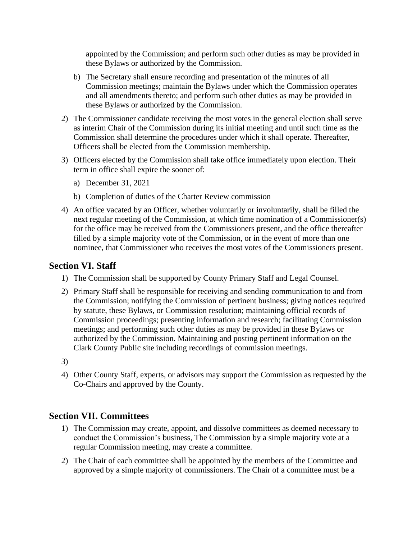appointed by the Commission; and perform such other duties as may be provided in these Bylaws or authorized by the Commission.

- b) The Secretary shall ensure recording and presentation of the minutes of all Commission meetings; maintain the Bylaws under which the Commission operates and all amendments thereto; and perform such other duties as may be provided in these Bylaws or authorized by the Commission.
- 2) The Commissioner candidate receiving the most votes in the general election shall serve as interim Chair of the Commission during its initial meeting and until such time as the Commission shall determine the procedures under which it shall operate. Thereafter, Officers shall be elected from the Commission membership.
- 3) Officers elected by the Commission shall take office immediately upon election. Their term in office shall expire the sooner of:
	- a) December 31, 2021
	- b) Completion of duties of the Charter Review commission
- 4) An office vacated by an Officer, whether voluntarily or involuntarily, shall be filled the next regular meeting of the Commission, at which time nomination of a Commissioner(s) for the office may be received from the Commissioners present, and the office thereafter filled by a simple majority vote of the Commission, or in the event of more than one nominee, that Commissioner who receives the most votes of the Commissioners present.

### **Section VI. Staff**

- 1) The Commission shall be supported by County Primary Staff and Legal Counsel.
- 2) Primary Staff shall be responsible for receiving and sending communication to and from the Commission; notifying the Commission of pertinent business; giving notices required by statute, these Bylaws, or Commission resolution; maintaining official records of Commission proceedings; presenting information and research; facilitating Commission meetings; and performing such other duties as may be provided in these Bylaws or authorized by the Commission. Maintaining and posting pertinent information on the Clark County Public site including recordings of commission meetings.
- 3)
- 4) Other County Staff, experts, or advisors may support the Commission as requested by the Co-Chairs and approved by the County.

### **Section VII. Committees**

- 1) The Commission may create, appoint, and dissolve committees as deemed necessary to conduct the Commission's business, The Commission by a simple majority vote at a regular Commission meeting, may create a committee.
- 2) The Chair of each committee shall be appointed by the members of the Committee and approved by a simple majority of commissioners. The Chair of a committee must be a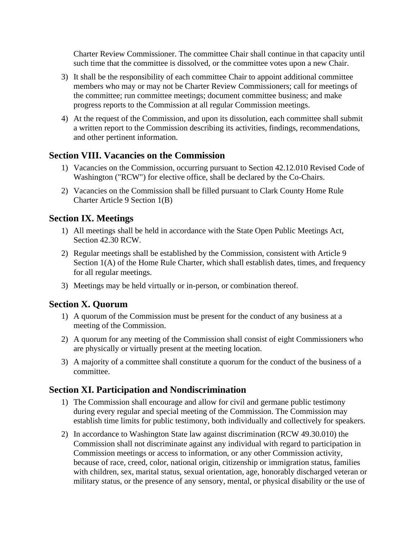Charter Review Commissioner. The committee Chair shall continue in that capacity until such time that the committee is dissolved, or the committee votes upon a new Chair.

- 3) It shall be the responsibility of each committee Chair to appoint additional committee members who may or may not be Charter Review Commissioners; call for meetings of the committee; run committee meetings; document committee business; and make progress reports to the Commission at all regular Commission meetings.
- 4) At the request of the Commission, and upon its dissolution, each committee shall submit a written report to the Commission describing its activities, findings, recommendations, and other pertinent information.

### **Section VIII. Vacancies on the Commission**

- 1) Vacancies on the Commission, occurring pursuant to Section 42.12.010 Revised Code of Washington ("RCW") for elective office, shall be declared by the Co-Chairs.
- 2) Vacancies on the Commission shall be filled pursuant to Clark County Home Rule Charter Article 9 Section 1(B)

### **Section IX. Meetings**

- 1) All meetings shall be held in accordance with the State Open Public Meetings Act, Section 42.30 RCW.
- 2) Regular meetings shall be established by the Commission, consistent with Article 9 Section  $1(A)$  of the Home Rule Charter, which shall establish dates, times, and frequency for all regular meetings.
- 3) Meetings may be held virtually or in-person, or combination thereof.

### **Section X. Quorum**

- 1) A quorum of the Commission must be present for the conduct of any business at a meeting of the Commission.
- 2) A quorum for any meeting of the Commission shall consist of eight Commissioners who are physically or virtually present at the meeting location.
- 3) A majority of a committee shall constitute a quorum for the conduct of the business of a committee.

### **Section XI. Participation and Nondiscrimination**

- 1) The Commission shall encourage and allow for civil and germane public testimony during every regular and special meeting of the Commission. The Commission may establish time limits for public testimony, both individually and collectively for speakers.
- 2) In accordance to Washington State law against discrimination (RCW 49.30.010) the Commission shall not discriminate against any individual with regard to participation in Commission meetings or access to information, or any other Commission activity, because of race, creed, color, national origin, citizenship or immigration status, families with children, sex, marital status, sexual orientation, age, honorably discharged veteran or military status, or the presence of any sensory, mental, or physical disability or the use of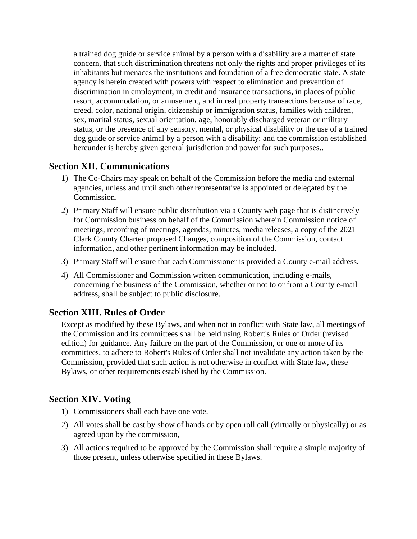a trained dog guide or service animal by a person with a disability are a matter of state concern, that such discrimination threatens not only the rights and proper privileges of its inhabitants but menaces the institutions and foundation of a free democratic state. A state agency is herein created with powers with respect to elimination and prevention of discrimination in employment, in credit and insurance transactions, in places of public resort, accommodation, or amusement, and in real property transactions because of race, creed, color, national origin, citizenship or immigration status, families with children, sex, marital status, sexual orientation, age, honorably discharged veteran or military status, or the presence of any sensory, mental, or physical disability or the use of a trained dog guide or service animal by a person with a disability; and the commission established hereunder is hereby given general jurisdiction and power for such purposes..

### **Section XII. Communications**

- 1) The Co-Chairs may speak on behalf of the Commission before the media and external agencies, unless and until such other representative is appointed or delegated by the Commission.
- 2) Primary Staff will ensure public distribution via a County web page that is distinctively for Commission business on behalf of the Commission wherein Commission notice of meetings, recording of meetings, agendas, minutes, media releases, a copy of the 2021 Clark County Charter proposed Changes, composition of the Commission, contact information, and other pertinent information may be included.
- 3) Primary Staff will ensure that each Commissioner is provided a County e-mail address.
- 4) All Commissioner and Commission written communication, including e-mails, concerning the business of the Commission, whether or not to or from a County e-mail address, shall be subject to public disclosure.

### **Section XIII. Rules of Order**

Except as modified by these Bylaws, and when not in conflict with State law, all meetings of the Commission and its committees shall be held using Robert's Rules of Order (revised edition) for guidance. Any failure on the part of the Commission, or one or more of its committees, to adhere to Robert's Rules of Order shall not invalidate any action taken by the Commission, provided that such action is not otherwise in conflict with State law, these Bylaws, or other requirements established by the Commission.

### **Section XIV. Voting**

- 1) Commissioners shall each have one vote.
- 2) All votes shall be cast by show of hands or by open roll call (virtually or physically) or as agreed upon by the commission,
- 3) All actions required to be approved by the Commission shall require a simple majority of those present, unless otherwise specified in these Bylaws.